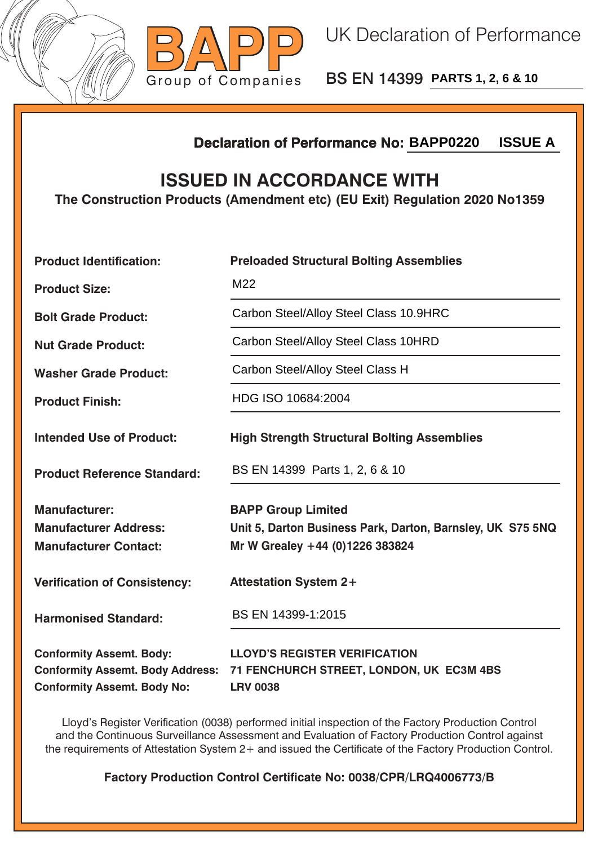



BS EN 14399 **PARTS 1, 2, 6 & 10**

## **Declaration of Performance No:**

## **ISSUED IN ACCORDANCE WITH**

|                                                                                                                  | <b>ISSUE A</b><br><b>Declaration of Performance No: BAPP0220</b>                                                           |  |  |  |
|------------------------------------------------------------------------------------------------------------------|----------------------------------------------------------------------------------------------------------------------------|--|--|--|
| <b>ISSUED IN ACCORDANCE WITH</b><br>The Construction Products (Amendment etc) (EU Exit) Regulation 2020 No1359   |                                                                                                                            |  |  |  |
| <b>Product Identification:</b>                                                                                   | <b>Preloaded Structural Bolting Assemblies</b>                                                                             |  |  |  |
| <b>Product Size:</b>                                                                                             | M22                                                                                                                        |  |  |  |
| <b>Bolt Grade Product:</b>                                                                                       | Carbon Steel/Alloy Steel Class 10.9HRC                                                                                     |  |  |  |
| <b>Nut Grade Product:</b>                                                                                        | Carbon Steel/Alloy Steel Class 10HRD                                                                                       |  |  |  |
| <b>Washer Grade Product:</b>                                                                                     | Carbon Steel/Alloy Steel Class H                                                                                           |  |  |  |
| <b>Product Finish:</b>                                                                                           | HDG ISO 10684:2004                                                                                                         |  |  |  |
| <b>Intended Use of Product:</b>                                                                                  | <b>High Strength Structural Bolting Assemblies</b>                                                                         |  |  |  |
| <b>Product Reference Standard:</b>                                                                               | BS EN 14399 Parts 1, 2, 6 & 10                                                                                             |  |  |  |
| <b>Manufacturer:</b><br><b>Manufacturer Address:</b><br><b>Manufacturer Contact:</b>                             | <b>BAPP Group Limited</b><br>Unit 5, Darton Business Park, Darton, Barnsley, UK S75 5NQ<br>Mr W Grealey +44 (0)1226 383824 |  |  |  |
| <b>Verification of Consistency:</b>                                                                              | <b>Attestation System 2+</b>                                                                                               |  |  |  |
| <b>Harmonised Standard:</b>                                                                                      | BS EN 14399-1:2015                                                                                                         |  |  |  |
| <b>Conformity Assemt. Body:</b><br><b>Conformity Assemt. Body Address:</b><br><b>Conformity Assemt. Body No:</b> | <b>LLOYD'S REGISTER VERIFICATION</b><br>71 FENCHURCH STREET, LONDON, UK EC3M 4BS<br><b>LRV 0038</b>                        |  |  |  |

Lloyd's Register Verification (0038) performed initial inspection of the Factory Production Control and the Continuous Surveillance Assessment and Evaluation of Factory Production Control against the requirements of Attestation System 2+ and issued the Certificate of the Factory Production Control.

**Factory Production Control Certificate No: 0038/CPR/LRQ4006773/B**